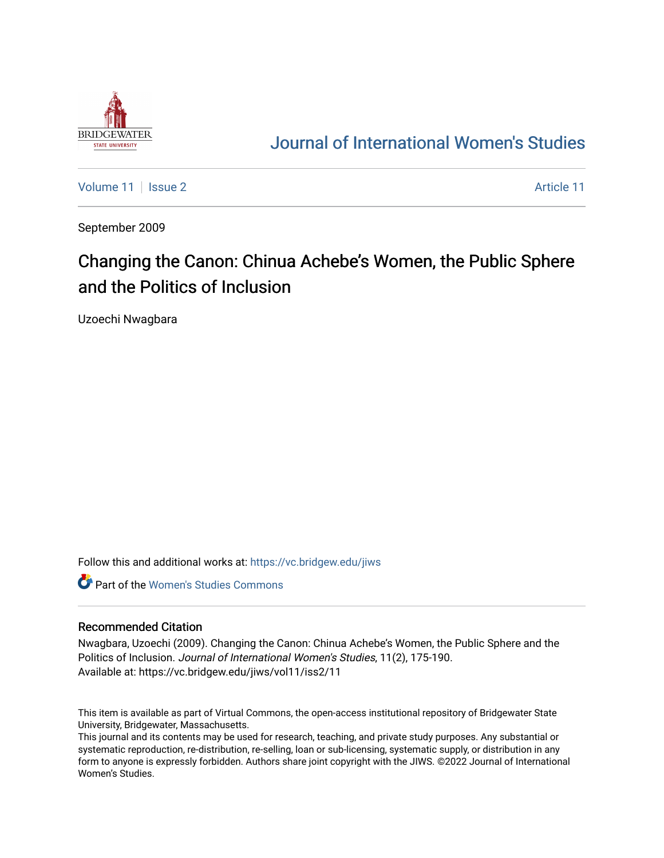

## [Journal of International Women's Studies](https://vc.bridgew.edu/jiws)

[Volume 11](https://vc.bridgew.edu/jiws/vol11) | [Issue 2](https://vc.bridgew.edu/jiws/vol11/iss2) [Article 11](https://vc.bridgew.edu/jiws/vol11/iss2/11) | Issue 2 Article 11 | Issue 2 Article 11 | Issue 2 Article 11 | Issue 2 Article 11

September 2009

# Changing the Canon: Chinua Achebe's Women, the Public Sphere and the Politics of Inclusion

Uzoechi Nwagbara

Follow this and additional works at: [https://vc.bridgew.edu/jiws](https://vc.bridgew.edu/jiws?utm_source=vc.bridgew.edu%2Fjiws%2Fvol11%2Fiss2%2F11&utm_medium=PDF&utm_campaign=PDFCoverPages)

**C** Part of the Women's Studies Commons

#### Recommended Citation

Nwagbara, Uzoechi (2009). Changing the Canon: Chinua Achebe's Women, the Public Sphere and the Politics of Inclusion. Journal of International Women's Studies, 11(2), 175-190. Available at: https://vc.bridgew.edu/jiws/vol11/iss2/11

This item is available as part of Virtual Commons, the open-access institutional repository of Bridgewater State University, Bridgewater, Massachusetts.

This journal and its contents may be used for research, teaching, and private study purposes. Any substantial or systematic reproduction, re-distribution, re-selling, loan or sub-licensing, systematic supply, or distribution in any form to anyone is expressly forbidden. Authors share joint copyright with the JIWS. ©2022 Journal of International Women's Studies.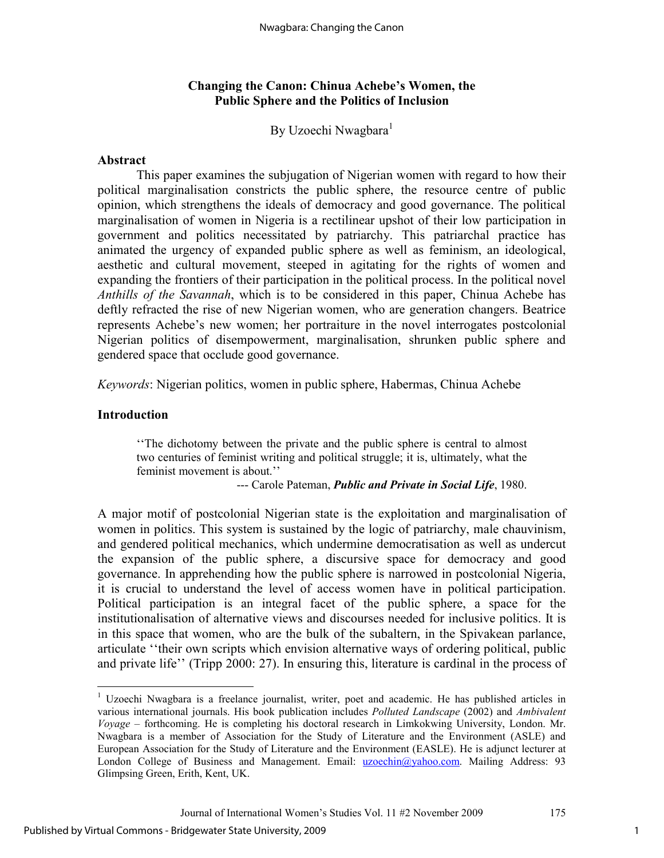### **Changing the Canon: Chinua Achebe's Women, the Public Sphere and the Politics of Inclusion**

By Uzoechi Nwagbara<sup>1</sup>

#### **Abstract**

This paper examines the subjugation of Nigerian women with regard to how their political marginalisation constricts the public sphere, the resource centre of public opinion, which strengthens the ideals of democracy and good governance. The political marginalisation of women in Nigeria is a rectilinear upshot of their low participation in government and politics necessitated by patriarchy. This patriarchal practice has animated the urgency of expanded public sphere as well as feminism, an ideological, aesthetic and cultural movement, steeped in agitating for the rights of women and expanding the frontiers of their participation in the political process. In the political novel *Anthills of the Savannah*, which is to be considered in this paper, Chinua Achebe has deftly refracted the rise of new Nigerian women, who are generation changers. Beatrice represents Achebe's new women; her portraiture in the novel interrogates postcolonial Nigerian politics of disempowerment, marginalisation, shrunken public sphere and gendered space that occlude good governance.

*Keywords*: Nigerian politics, women in public sphere, Habermas, Chinua Achebe

#### **Introduction**

''The dichotomy between the private and the public sphere is central to almost two centuries of feminist writing and political struggle; it is, ultimately, what the feminist movement is about.''

--- Carole Pateman, *Public and Private in Social Life*, 1980.

A major motif of postcolonial Nigerian state is the exploitation and marginalisation of women in politics. This system is sustained by the logic of patriarchy, male chauvinism, and gendered political mechanics, which undermine democratisation as well as undercut the expansion of the public sphere, a discursive space for democracy and good governance. In apprehending how the public sphere is narrowed in postcolonial Nigeria, it is crucial to understand the level of access women have in political participation. Political participation is an integral facet of the public sphere, a space for the institutionalisation of alternative views and discourses needed for inclusive politics. It is in this space that women, who are the bulk of the subaltern, in the Spivakean parlance, articulate ''their own scripts which envision alternative ways of ordering political, public and private life'' (Tripp 2000: 27). In ensuring this, literature is cardinal in the process of

<sup>&</sup>lt;sup>1</sup> Uzoechi Nwagbara is a freelance journalist, writer, poet and academic. He has published articles in various international journals. His book publication includes *Polluted Landscape* (2002) and *Ambivalent Voyage* – forthcoming. He is completing his doctoral research in Limkokwing University, London. Mr. Nwagbara is a member of Association for the Study of Literature and the Environment (ASLE) and European Association for the Study of Literature and the Environment (EASLE). He is adjunct lecturer at London College of Business and Management. Email: uzoechin@yahoo.com. Mailing Address: 93 Glimpsing Green, Erith, Kent, UK.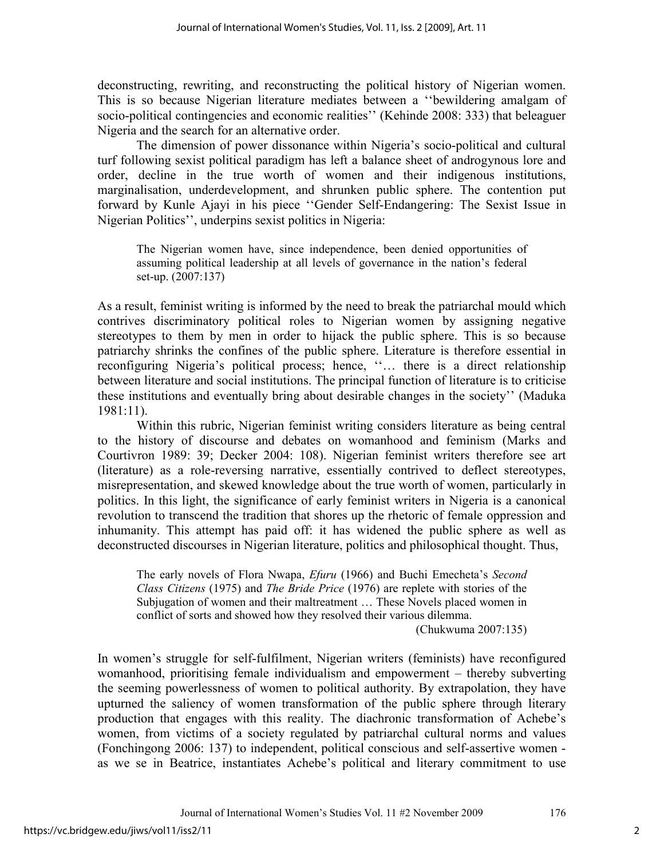deconstructing, rewriting, and reconstructing the political history of Nigerian women. This is so because Nigerian literature mediates between a ''bewildering amalgam of socio-political contingencies and economic realities'' (Kehinde 2008: 333) that beleaguer Nigeria and the search for an alternative order.

The dimension of power dissonance within Nigeria's socio-political and cultural turf following sexist political paradigm has left a balance sheet of androgynous lore and order, decline in the true worth of women and their indigenous institutions, marginalisation, underdevelopment, and shrunken public sphere. The contention put forward by Kunle Ajayi in his piece ''Gender Self-Endangering: The Sexist Issue in Nigerian Politics'', underpins sexist politics in Nigeria:

The Nigerian women have, since independence, been denied opportunities of assuming political leadership at all levels of governance in the nation's federal set-up. (2007:137)

As a result, feminist writing is informed by the need to break the patriarchal mould which contrives discriminatory political roles to Nigerian women by assigning negative stereotypes to them by men in order to hijack the public sphere. This is so because patriarchy shrinks the confines of the public sphere. Literature is therefore essential in reconfiguring Nigeria's political process; hence, ''… there is a direct relationship between literature and social institutions. The principal function of literature is to criticise these institutions and eventually bring about desirable changes in the society'' (Maduka 1981:11).

Within this rubric, Nigerian feminist writing considers literature as being central to the history of discourse and debates on womanhood and feminism (Marks and Courtivron 1989: 39; Decker 2004: 108). Nigerian feminist writers therefore see art (literature) as a role-reversing narrative, essentially contrived to deflect stereotypes, misrepresentation, and skewed knowledge about the true worth of women, particularly in politics. In this light, the significance of early feminist writers in Nigeria is a canonical revolution to transcend the tradition that shores up the rhetoric of female oppression and inhumanity. This attempt has paid off: it has widened the public sphere as well as deconstructed discourses in Nigerian literature, politics and philosophical thought. Thus,

The early novels of Flora Nwapa, *Efuru* (1966) and Buchi Emecheta's *Second Class Citizens* (1975) and *The Bride Price* (1976) are replete with stories of the Subjugation of women and their maltreatment … These Novels placed women in conflict of sorts and showed how they resolved their various dilemma.

(Chukwuma 2007:135)

In women's struggle for self-fulfilment, Nigerian writers (feminists) have reconfigured womanhood, prioritising female individualism and empowerment – thereby subverting the seeming powerlessness of women to political authority. By extrapolation, they have upturned the saliency of women transformation of the public sphere through literary production that engages with this reality. The diachronic transformation of Achebe's women, from victims of a society regulated by patriarchal cultural norms and values (Fonchingong 2006: 137) to independent, political conscious and self-assertive women as we se in Beatrice, instantiates Achebe's political and literary commitment to use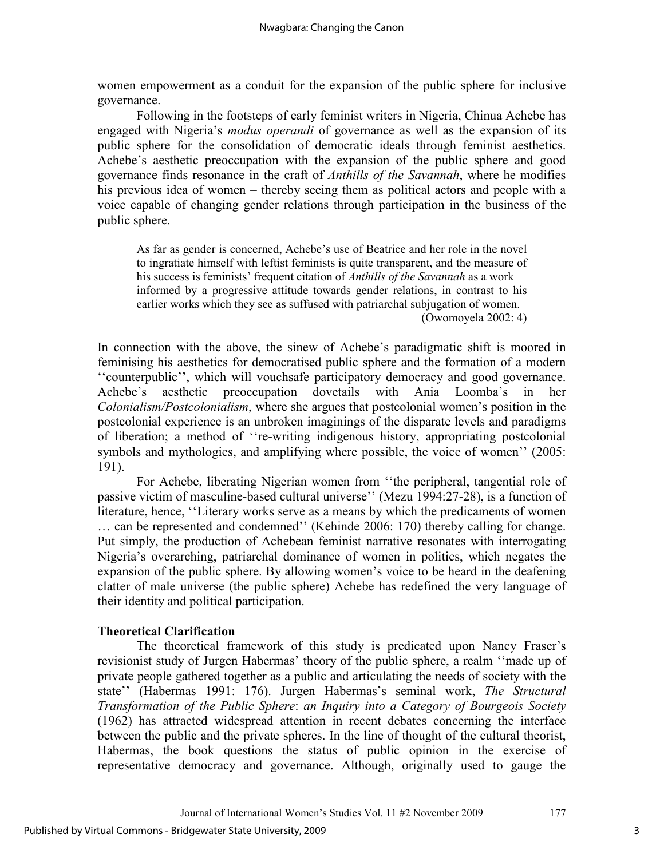women empowerment as a conduit for the expansion of the public sphere for inclusive governance.

Following in the footsteps of early feminist writers in Nigeria, Chinua Achebe has engaged with Nigeria's *modus operandi* of governance as well as the expansion of its public sphere for the consolidation of democratic ideals through feminist aesthetics. Achebe's aesthetic preoccupation with the expansion of the public sphere and good governance finds resonance in the craft of *Anthills of the Savannah*, where he modifies his previous idea of women – thereby seeing them as political actors and people with a voice capable of changing gender relations through participation in the business of the public sphere.

As far as gender is concerned, Achebe's use of Beatrice and her role in the novel to ingratiate himself with leftist feminists is quite transparent, and the measure of his success is feminists' frequent citation of *Anthills of the Savannah* as a work informed by a progressive attitude towards gender relations, in contrast to his earlier works which they see as suffused with patriarchal subjugation of women. (Owomoyela 2002: 4)

In connection with the above, the sinew of Achebe's paradigmatic shift is moored in feminising his aesthetics for democratised public sphere and the formation of a modern ''counterpublic'', which will vouchsafe participatory democracy and good governance. Achebe's aesthetic preoccupation dovetails with Ania Loomba's in her *Colonialism/Postcolonialism*, where she argues that postcolonial women's position in the postcolonial experience is an unbroken imaginings of the disparate levels and paradigms of liberation; a method of ''re-writing indigenous history, appropriating postcolonial symbols and mythologies, and amplifying where possible, the voice of women'' (2005: 191).

For Achebe, liberating Nigerian women from ''the peripheral, tangential role of passive victim of masculine-based cultural universe'' (Mezu 1994:27-28), is a function of literature, hence, ''Literary works serve as a means by which the predicaments of women … can be represented and condemned'' (Kehinde 2006: 170) thereby calling for change. Put simply, the production of Achebean feminist narrative resonates with interrogating Nigeria's overarching, patriarchal dominance of women in politics, which negates the expansion of the public sphere. By allowing women's voice to be heard in the deafening clatter of male universe (the public sphere) Achebe has redefined the very language of their identity and political participation.

#### **Theoretical Clarification**

The theoretical framework of this study is predicated upon Nancy Fraser's revisionist study of Jurgen Habermas' theory of the public sphere, a realm ''made up of private people gathered together as a public and articulating the needs of society with the state'' (Habermas 1991: 176). Jurgen Habermas's seminal work, *The Structural Transformation of the Public Sphere*: *an Inquiry into a Category of Bourgeois Society*  (1962) has attracted widespread attention in recent debates concerning the interface between the public and the private spheres. In the line of thought of the cultural theorist, Habermas, the book questions the status of public opinion in the exercise of representative democracy and governance. Although, originally used to gauge the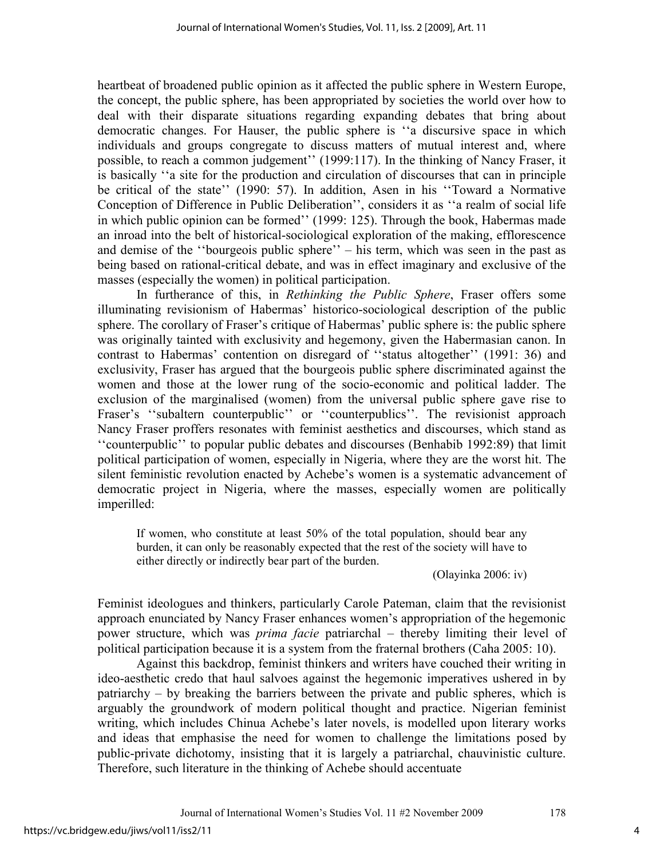heartbeat of broadened public opinion as it affected the public sphere in Western Europe, the concept, the public sphere, has been appropriated by societies the world over how to deal with their disparate situations regarding expanding debates that bring about democratic changes. For Hauser, the public sphere is ''a discursive space in which individuals and groups congregate to discuss matters of mutual interest and, where possible, to reach a common judgement'' (1999:117). In the thinking of Nancy Fraser, it is basically ''a site for the production and circulation of discourses that can in principle be critical of the state'' (1990: 57). In addition, Asen in his ''Toward a Normative Conception of Difference in Public Deliberation'', considers it as ''a realm of social life in which public opinion can be formed'' (1999: 125). Through the book, Habermas made an inroad into the belt of historical-sociological exploration of the making, efflorescence and demise of the ''bourgeois public sphere'' – his term, which was seen in the past as being based on rational-critical debate, and was in effect imaginary and exclusive of the masses (especially the women) in political participation.

In furtherance of this, in *Rethinking the Public Sphere*, Fraser offers some illuminating revisionism of Habermas' historico-sociological description of the public sphere. The corollary of Fraser's critique of Habermas' public sphere is: the public sphere was originally tainted with exclusivity and hegemony, given the Habermasian canon. In contrast to Habermas' contention on disregard of ''status altogether'' (1991: 36) and exclusivity, Fraser has argued that the bourgeois public sphere discriminated against the women and those at the lower rung of the socio-economic and political ladder. The exclusion of the marginalised (women) from the universal public sphere gave rise to Fraser's "subaltern counterpublic" or "counterpublics". The revisionist approach Nancy Fraser proffers resonates with feminist aesthetics and discourses, which stand as ''counterpublic'' to popular public debates and discourses (Benhabib 1992:89) that limit political participation of women, especially in Nigeria, where they are the worst hit. The silent feministic revolution enacted by Achebe's women is a systematic advancement of democratic project in Nigeria, where the masses, especially women are politically imperilled:

If women, who constitute at least 50% of the total population, should bear any burden, it can only be reasonably expected that the rest of the society will have to either directly or indirectly bear part of the burden.

(Olayinka 2006: iv)

Feminist ideologues and thinkers, particularly Carole Pateman, claim that the revisionist approach enunciated by Nancy Fraser enhances women's appropriation of the hegemonic power structure, which was *prima facie* patriarchal – thereby limiting their level of political participation because it is a system from the fraternal brothers (Caha 2005: 10).

Against this backdrop, feminist thinkers and writers have couched their writing in ideo-aesthetic credo that haul salvoes against the hegemonic imperatives ushered in by patriarchy – by breaking the barriers between the private and public spheres, which is arguably the groundwork of modern political thought and practice. Nigerian feminist writing, which includes Chinua Achebe's later novels, is modelled upon literary works and ideas that emphasise the need for women to challenge the limitations posed by public-private dichotomy, insisting that it is largely a patriarchal, chauvinistic culture. Therefore, such literature in the thinking of Achebe should accentuate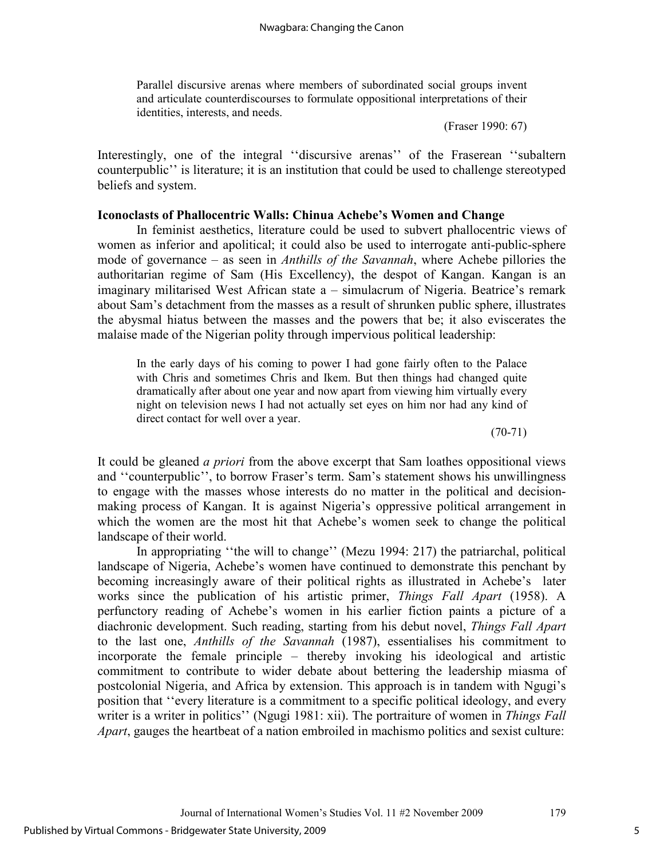Parallel discursive arenas where members of subordinated social groups invent and articulate counterdiscourses to formulate oppositional interpretations of their identities, interests, and needs.

(Fraser 1990: 67)

Interestingly, one of the integral ''discursive arenas'' of the Fraserean ''subaltern counterpublic'' is literature; it is an institution that could be used to challenge stereotyped beliefs and system.

#### **Iconoclasts of Phallocentric Walls: Chinua Achebe's Women and Change**

In feminist aesthetics, literature could be used to subvert phallocentric views of women as inferior and apolitical; it could also be used to interrogate anti-public-sphere mode of governance – as seen in *Anthills of the Savannah*, where Achebe pillories the authoritarian regime of Sam (His Excellency), the despot of Kangan. Kangan is an imaginary militarised West African state a – simulacrum of Nigeria. Beatrice's remark about Sam's detachment from the masses as a result of shrunken public sphere, illustrates the abysmal hiatus between the masses and the powers that be; it also eviscerates the malaise made of the Nigerian polity through impervious political leadership:

In the early days of his coming to power I had gone fairly often to the Palace with Chris and sometimes Chris and Ikem. But then things had changed quite dramatically after about one year and now apart from viewing him virtually every night on television news I had not actually set eyes on him nor had any kind of direct contact for well over a year.

 $(70-71)$ 

It could be gleaned *a priori* from the above excerpt that Sam loathes oppositional views and ''counterpublic'', to borrow Fraser's term. Sam's statement shows his unwillingness to engage with the masses whose interests do no matter in the political and decisionmaking process of Kangan. It is against Nigeria's oppressive political arrangement in which the women are the most hit that Achebe's women seek to change the political landscape of their world.

In appropriating ''the will to change'' (Mezu 1994: 217) the patriarchal, political landscape of Nigeria, Achebe's women have continued to demonstrate this penchant by becoming increasingly aware of their political rights as illustrated in Achebe's later works since the publication of his artistic primer, *Things Fall Apart* (1958). A perfunctory reading of Achebe's women in his earlier fiction paints a picture of a diachronic development. Such reading, starting from his debut novel, *Things Fall Apart* to the last one, *Anthills of the Savannah* (1987), essentialises his commitment to incorporate the female principle – thereby invoking his ideological and artistic commitment to contribute to wider debate about bettering the leadership miasma of postcolonial Nigeria, and Africa by extension. This approach is in tandem with Ngugi's position that ''every literature is a commitment to a specific political ideology, and every writer is a writer in politics'' (Ngugi 1981: xii). The portraiture of women in *Things Fall Apart*, gauges the heartbeat of a nation embroiled in machismo politics and sexist culture: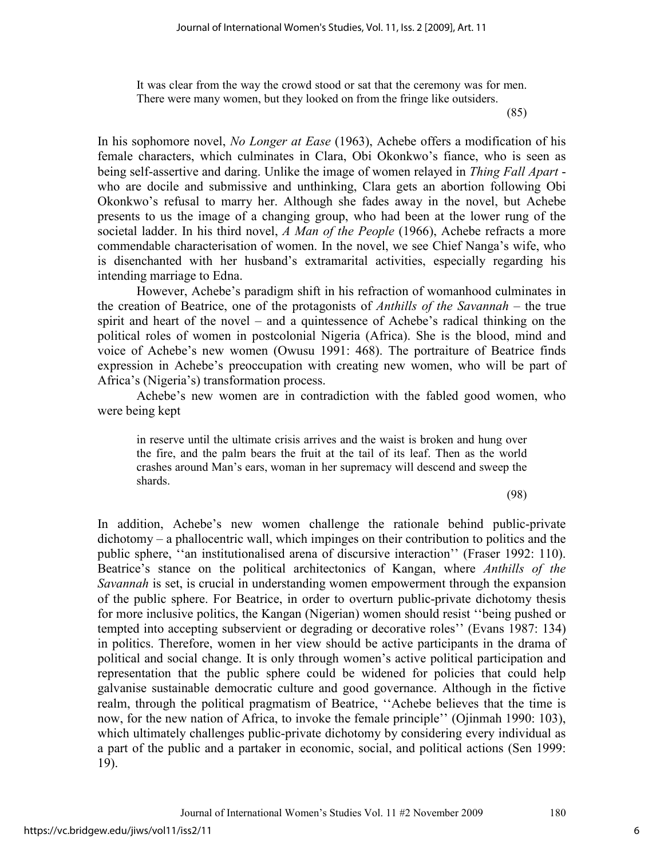It was clear from the way the crowd stood or sat that the ceremony was for men. There were many women, but they looked on from the fringe like outsiders.

(85)

In his sophomore novel, *No Longer at Ease* (1963), Achebe offers a modification of his female characters, which culminates in Clara, Obi Okonkwo's fiance, who is seen as being self-assertive and daring. Unlike the image of women relayed in *Thing Fall Apart* who are docile and submissive and unthinking, Clara gets an abortion following Obi Okonkwo's refusal to marry her. Although she fades away in the novel, but Achebe presents to us the image of a changing group, who had been at the lower rung of the societal ladder. In his third novel, *A Man of the People* (1966), Achebe refracts a more commendable characterisation of women. In the novel, we see Chief Nanga's wife, who is disenchanted with her husband's extramarital activities, especially regarding his intending marriage to Edna.

However, Achebe's paradigm shift in his refraction of womanhood culminates in the creation of Beatrice, one of the protagonists of *Anthills of the Savannah* – the true spirit and heart of the novel – and a quintessence of Achebe's radical thinking on the political roles of women in postcolonial Nigeria (Africa). She is the blood, mind and voice of Achebe's new women (Owusu 1991: 468). The portraiture of Beatrice finds expression in Achebe's preoccupation with creating new women, who will be part of Africa's (Nigeria's) transformation process.

Achebe's new women are in contradiction with the fabled good women, who were being kept

in reserve until the ultimate crisis arrives and the waist is broken and hung over the fire, and the palm bears the fruit at the tail of its leaf. Then as the world crashes around Man's ears, woman in her supremacy will descend and sweep the shards.

(98)

In addition, Achebe's new women challenge the rationale behind public-private dichotomy – a phallocentric wall, which impinges on their contribution to politics and the public sphere, ''an institutionalised arena of discursive interaction'' (Fraser 1992: 110). Beatrice's stance on the political architectonics of Kangan, where *Anthills of the Savannah* is set, is crucial in understanding women empowerment through the expansion of the public sphere. For Beatrice, in order to overturn public-private dichotomy thesis for more inclusive politics, the Kangan (Nigerian) women should resist ''being pushed or tempted into accepting subservient or degrading or decorative roles'' (Evans 1987: 134) in politics. Therefore, women in her view should be active participants in the drama of political and social change. It is only through women's active political participation and representation that the public sphere could be widened for policies that could help galvanise sustainable democratic culture and good governance. Although in the fictive realm, through the political pragmatism of Beatrice, ''Achebe believes that the time is now, for the new nation of Africa, to invoke the female principle'' (Ojinmah 1990: 103), which ultimately challenges public-private dichotomy by considering every individual as a part of the public and a partaker in economic, social, and political actions (Sen 1999: 19).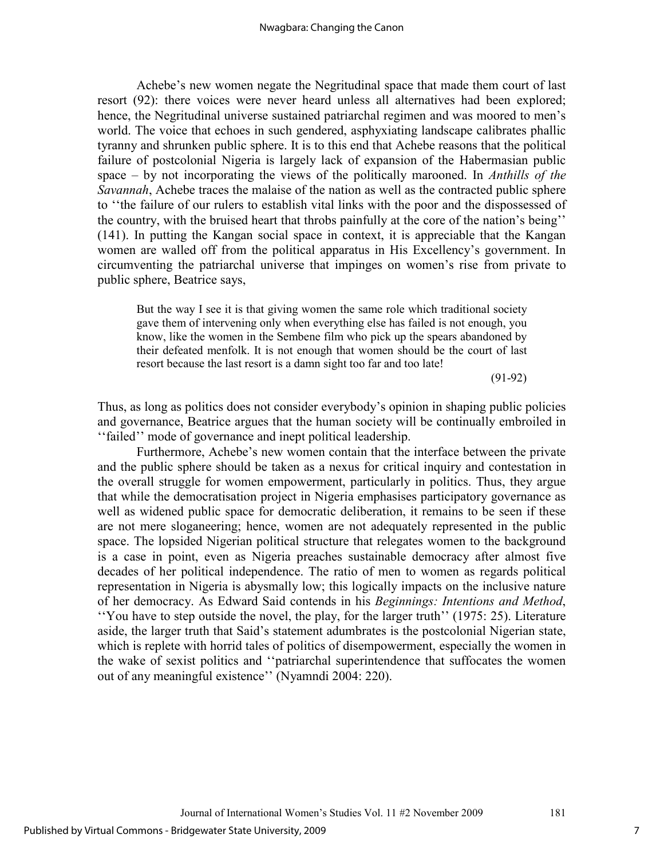Achebe's new women negate the Negritudinal space that made them court of last resort (92): there voices were never heard unless all alternatives had been explored; hence, the Negritudinal universe sustained patriarchal regimen and was moored to men's world. The voice that echoes in such gendered, asphyxiating landscape calibrates phallic tyranny and shrunken public sphere. It is to this end that Achebe reasons that the political failure of postcolonial Nigeria is largely lack of expansion of the Habermasian public space – by not incorporating the views of the politically marooned. In *Anthills of the Savannah*, Achebe traces the malaise of the nation as well as the contracted public sphere to ''the failure of our rulers to establish vital links with the poor and the dispossessed of the country, with the bruised heart that throbs painfully at the core of the nation's being'' (141). In putting the Kangan social space in context, it is appreciable that the Kangan women are walled off from the political apparatus in His Excellency's government. In circumventing the patriarchal universe that impinges on women's rise from private to public sphere, Beatrice says,

But the way I see it is that giving women the same role which traditional society gave them of intervening only when everything else has failed is not enough, you know, like the women in the Sembene film who pick up the spears abandoned by their defeated menfolk. It is not enough that women should be the court of last resort because the last resort is a damn sight too far and too late!

(91-92)

Thus, as long as politics does not consider everybody's opinion in shaping public policies and governance, Beatrice argues that the human society will be continually embroiled in ''failed'' mode of governance and inept political leadership.

Furthermore, Achebe's new women contain that the interface between the private and the public sphere should be taken as a nexus for critical inquiry and contestation in the overall struggle for women empowerment, particularly in politics. Thus, they argue that while the democratisation project in Nigeria emphasises participatory governance as well as widened public space for democratic deliberation, it remains to be seen if these are not mere sloganeering; hence, women are not adequately represented in the public space. The lopsided Nigerian political structure that relegates women to the background is a case in point, even as Nigeria preaches sustainable democracy after almost five decades of her political independence. The ratio of men to women as regards political representation in Nigeria is abysmally low; this logically impacts on the inclusive nature of her democracy. As Edward Said contends in his *Beginnings: Intentions and Method*, ''You have to step outside the novel, the play, for the larger truth'' (1975: 25). Literature aside, the larger truth that Said's statement adumbrates is the postcolonial Nigerian state, which is replete with horrid tales of politics of disempowerment, especially the women in the wake of sexist politics and ''patriarchal superintendence that suffocates the women out of any meaningful existence'' (Nyamndi 2004: 220).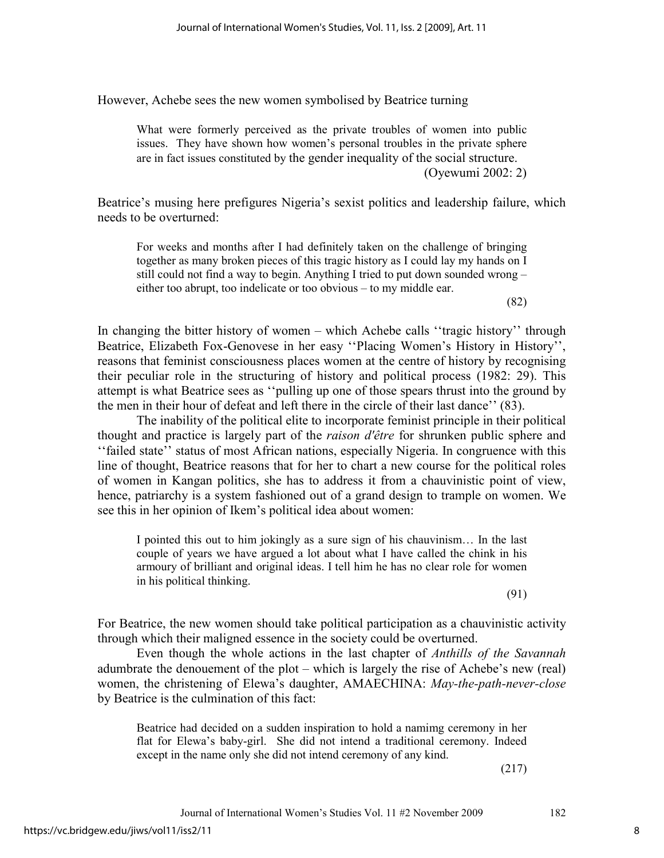However, Achebe sees the new women symbolised by Beatrice turning

What were formerly perceived as the private troubles of women into public issues. They have shown how women's personal troubles in the private sphere are in fact issues constituted by the gender inequality of the social structure. (Oyewumi 2002: 2)

Beatrice's musing here prefigures Nigeria's sexist politics and leadership failure, which needs to be overturned:

For weeks and months after I had definitely taken on the challenge of bringing together as many broken pieces of this tragic history as I could lay my hands on I still could not find a way to begin. Anything I tried to put down sounded wrong – either too abrupt, too indelicate or too obvious – to my middle ear.

(82)

In changing the bitter history of women – which Achebe calls ''tragic history'' through Beatrice, Elizabeth Fox-Genovese in her easy ''Placing Women's History in History'', reasons that feminist consciousness places women at the centre of history by recognising their peculiar role in the structuring of history and political process (1982: 29). This attempt is what Beatrice sees as ''pulling up one of those spears thrust into the ground by the men in their hour of defeat and left there in the circle of their last dance'' (83).

The inability of the political elite to incorporate feminist principle in their political thought and practice is largely part of the *raison d'être* for shrunken public sphere and ''failed state'' status of most African nations, especially Nigeria. In congruence with this line of thought, Beatrice reasons that for her to chart a new course for the political roles of women in Kangan politics, she has to address it from a chauvinistic point of view, hence, patriarchy is a system fashioned out of a grand design to trample on women. We see this in her opinion of Ikem's political idea about women:

I pointed this out to him jokingly as a sure sign of his chauvinism… In the last couple of years we have argued a lot about what I have called the chink in his armoury of brilliant and original ideas. I tell him he has no clear role for women in his political thinking.

(91)

For Beatrice, the new women should take political participation as a chauvinistic activity through which their maligned essence in the society could be overturned.

Even though the whole actions in the last chapter of *Anthills of the Savannah* adumbrate the denouement of the plot – which is largely the rise of Achebe's new (real) women, the christening of Elewa's daughter, AMAECHINA: *May-the-path-never-close* by Beatrice is the culmination of this fact:

Beatrice had decided on a sudden inspiration to hold a namimg ceremony in her flat for Elewa's baby-girl. She did not intend a traditional ceremony. Indeed except in the name only she did not intend ceremony of any kind.

(217)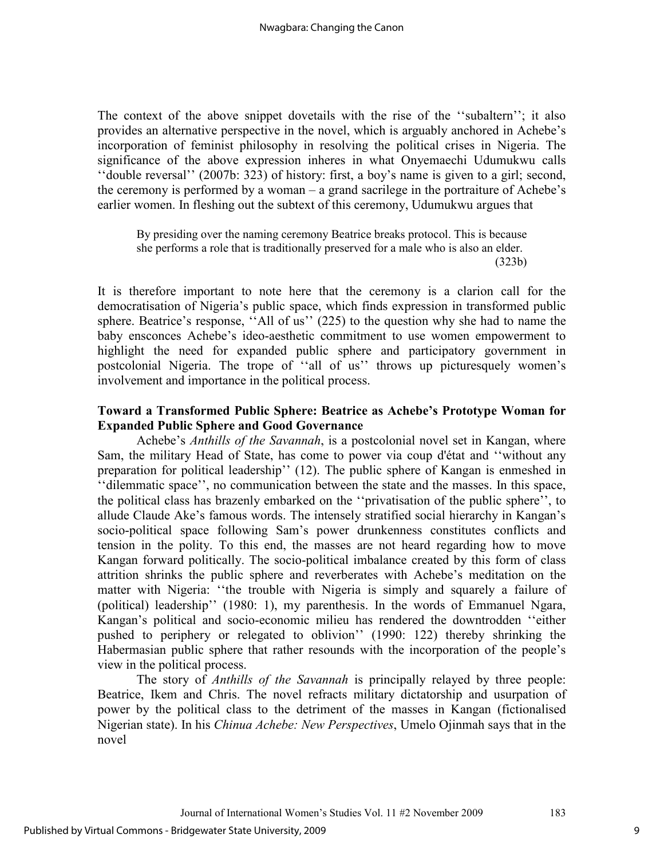The context of the above snippet dovetails with the rise of the ''subaltern''; it also provides an alternative perspective in the novel, which is arguably anchored in Achebe's incorporation of feminist philosophy in resolving the political crises in Nigeria. The significance of the above expression inheres in what Onyemaechi Udumukwu calls ''double reversal'' (2007b: 323) of history: first, a boy's name is given to a girl; second, the ceremony is performed by a woman – a grand sacrilege in the portraiture of Achebe's earlier women. In fleshing out the subtext of this ceremony, Udumukwu argues that

By presiding over the naming ceremony Beatrice breaks protocol. This is because she performs a role that is traditionally preserved for a male who is also an elder. (323b)

It is therefore important to note here that the ceremony is a clarion call for the democratisation of Nigeria's public space, which finds expression in transformed public sphere. Beatrice's response, ''All of us'' (225) to the question why she had to name the baby ensconces Achebe's ideo-aesthetic commitment to use women empowerment to highlight the need for expanded public sphere and participatory government in postcolonial Nigeria. The trope of ''all of us'' throws up picturesquely women's involvement and importance in the political process.

### **Toward a Transformed Public Sphere: Beatrice as Achebe's Prototype Woman for Expanded Public Sphere and Good Governance**

Achebe's *Anthills of the Savannah*, is a postcolonial novel set in Kangan, where Sam, the military Head of State, has come to power via coup d'état and ''without any preparation for political leadership'' (12). The public sphere of Kangan is enmeshed in ''dilemmatic space'', no communication between the state and the masses. In this space, the political class has brazenly embarked on the ''privatisation of the public sphere'', to allude Claude Ake's famous words. The intensely stratified social hierarchy in Kangan's socio-political space following Sam's power drunkenness constitutes conflicts and tension in the polity. To this end, the masses are not heard regarding how to move Kangan forward politically. The socio-political imbalance created by this form of class attrition shrinks the public sphere and reverberates with Achebe's meditation on the matter with Nigeria: ''the trouble with Nigeria is simply and squarely a failure of (political) leadership'' (1980: 1), my parenthesis. In the words of Emmanuel Ngara, Kangan's political and socio-economic milieu has rendered the downtrodden ''either pushed to periphery or relegated to oblivion'' (1990: 122) thereby shrinking the Habermasian public sphere that rather resounds with the incorporation of the people's view in the political process.

The story of *Anthills of the Savannah* is principally relayed by three people: Beatrice, Ikem and Chris. The novel refracts military dictatorship and usurpation of power by the political class to the detriment of the masses in Kangan (fictionalised Nigerian state). In his *Chinua Achebe: New Perspectives*, Umelo Ojinmah says that in the novel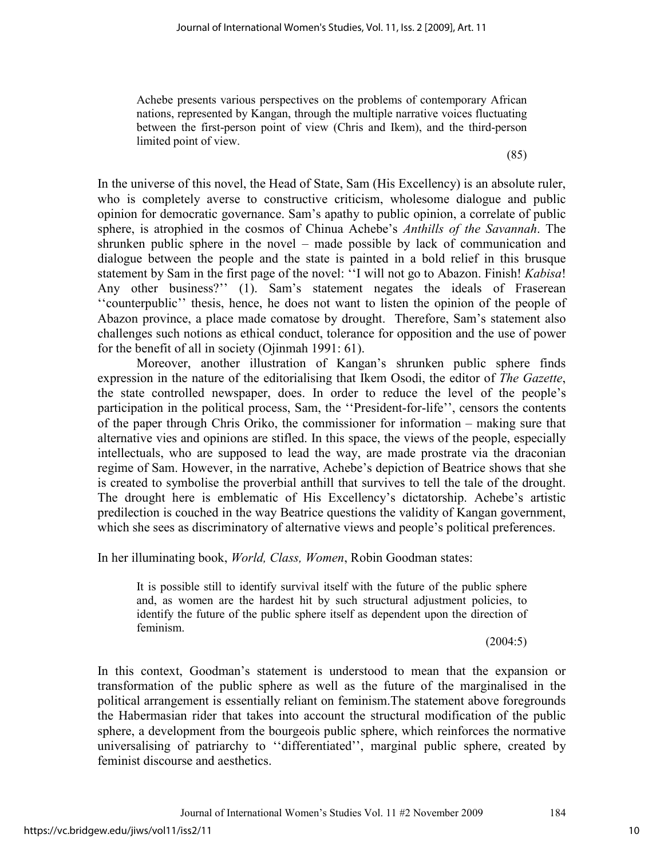Achebe presents various perspectives on the problems of contemporary African nations, represented by Kangan, through the multiple narrative voices fluctuating between the first-person point of view (Chris and Ikem), and the third-person limited point of view.

(85)

In the universe of this novel, the Head of State, Sam (His Excellency) is an absolute ruler, who is completely averse to constructive criticism, wholesome dialogue and public opinion for democratic governance. Sam's apathy to public opinion, a correlate of public sphere, is atrophied in the cosmos of Chinua Achebe's *Anthills of the Savannah*. The shrunken public sphere in the novel – made possible by lack of communication and dialogue between the people and the state is painted in a bold relief in this brusque statement by Sam in the first page of the novel: ''I will not go to Abazon. Finish! *Kabisa*! Any other business?'' (1). Sam's statement negates the ideals of Fraserean ''counterpublic'' thesis, hence, he does not want to listen the opinion of the people of Abazon province, a place made comatose by drought. Therefore, Sam's statement also challenges such notions as ethical conduct, tolerance for opposition and the use of power for the benefit of all in society (Ojinmah 1991: 61).

Moreover, another illustration of Kangan's shrunken public sphere finds expression in the nature of the editorialising that Ikem Osodi, the editor of *The Gazette*, the state controlled newspaper, does. In order to reduce the level of the people's participation in the political process, Sam, the ''President-for-life'', censors the contents of the paper through Chris Oriko, the commissioner for information – making sure that alternative vies and opinions are stifled. In this space, the views of the people, especially intellectuals, who are supposed to lead the way, are made prostrate via the draconian regime of Sam. However, in the narrative, Achebe's depiction of Beatrice shows that she is created to symbolise the proverbial anthill that survives to tell the tale of the drought. The drought here is emblematic of His Excellency's dictatorship. Achebe's artistic predilection is couched in the way Beatrice questions the validity of Kangan government, which she sees as discriminatory of alternative views and people's political preferences.

In her illuminating book, *World, Class, Women*, Robin Goodman states:

It is possible still to identify survival itself with the future of the public sphere and, as women are the hardest hit by such structural adjustment policies, to identify the future of the public sphere itself as dependent upon the direction of feminism.

 $(2004:5)$ 

In this context, Goodman's statement is understood to mean that the expansion or transformation of the public sphere as well as the future of the marginalised in the political arrangement is essentially reliant on feminism.The statement above foregrounds the Habermasian rider that takes into account the structural modification of the public sphere, a development from the bourgeois public sphere, which reinforces the normative universalising of patriarchy to ''differentiated'', marginal public sphere, created by feminist discourse and aesthetics.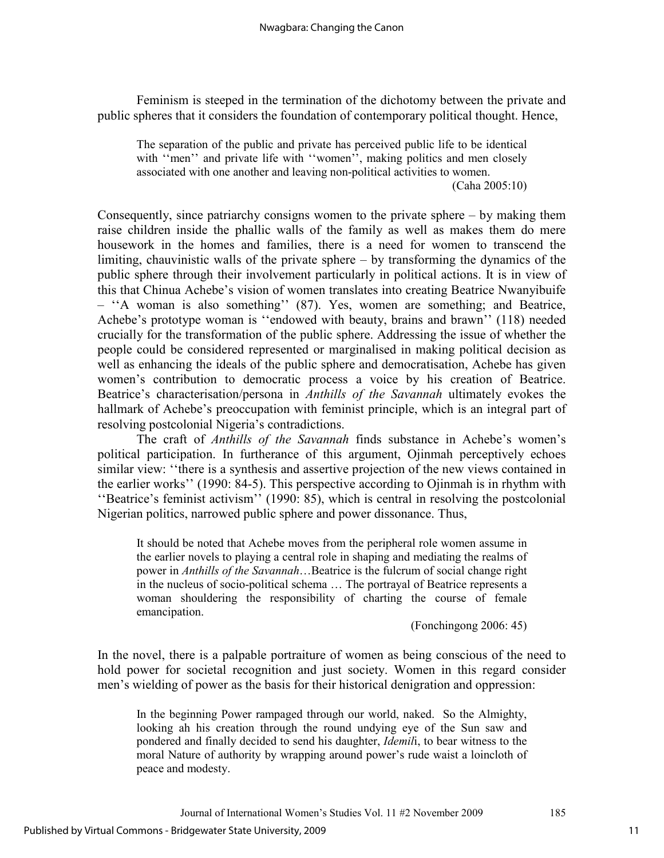Feminism is steeped in the termination of the dichotomy between the private and public spheres that it considers the foundation of contemporary political thought. Hence,

The separation of the public and private has perceived public life to be identical with "men" and private life with "women", making politics and men closely associated with one another and leaving non-political activities to women. (Caha 2005:10)

Consequently, since patriarchy consigns women to the private sphere  $-$  by making them raise children inside the phallic walls of the family as well as makes them do mere housework in the homes and families, there is a need for women to transcend the limiting, chauvinistic walls of the private sphere – by transforming the dynamics of the public sphere through their involvement particularly in political actions. It is in view of this that Chinua Achebe's vision of women translates into creating Beatrice Nwanyibuife – ''A woman is also something'' (87). Yes, women are something; and Beatrice, Achebe's prototype woman is ''endowed with beauty, brains and brawn'' (118) needed crucially for the transformation of the public sphere. Addressing the issue of whether the people could be considered represented or marginalised in making political decision as well as enhancing the ideals of the public sphere and democratisation, Achebe has given women's contribution to democratic process a voice by his creation of Beatrice. Beatrice's characterisation/persona in *Anthills of the Savannah* ultimately evokes the hallmark of Achebe's preoccupation with feminist principle, which is an integral part of resolving postcolonial Nigeria's contradictions.

The craft of *Anthills of the Savannah* finds substance in Achebe's women's political participation. In furtherance of this argument, Ojinmah perceptively echoes similar view: ''there is a synthesis and assertive projection of the new views contained in the earlier works'' (1990: 84-5). This perspective according to Ojinmah is in rhythm with ''Beatrice's feminist activism'' (1990: 85), which is central in resolving the postcolonial Nigerian politics, narrowed public sphere and power dissonance. Thus,

It should be noted that Achebe moves from the peripheral role women assume in the earlier novels to playing a central role in shaping and mediating the realms of power in *Anthills of the Savannah*…Beatrice is the fulcrum of social change right in the nucleus of socio-political schema … The portrayal of Beatrice represents a woman shouldering the responsibility of charting the course of female emancipation.

(Fonchingong 2006: 45)

In the novel, there is a palpable portraiture of women as being conscious of the need to hold power for societal recognition and just society. Women in this regard consider men's wielding of power as the basis for their historical denigration and oppression:

In the beginning Power rampaged through our world, naked. So the Almighty, looking ah his creation through the round undying eye of the Sun saw and pondered and finally decided to send his daughter, *Idemil*i, to bear witness to the moral Nature of authority by wrapping around power's rude waist a loincloth of peace and modesty.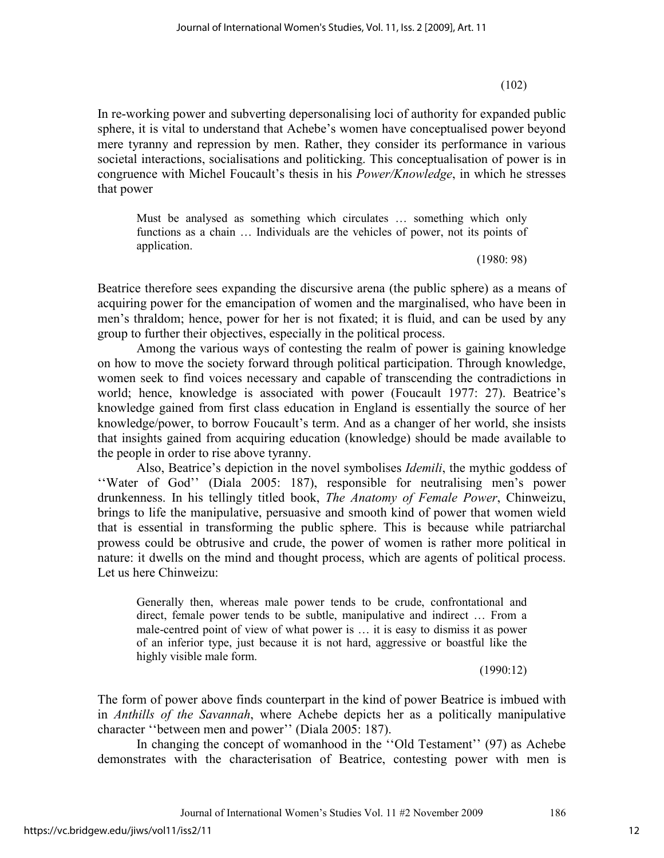$(102)$ 

In re-working power and subverting depersonalising loci of authority for expanded public sphere, it is vital to understand that Achebe's women have conceptualised power beyond mere tyranny and repression by men. Rather, they consider its performance in various societal interactions, socialisations and politicking. This conceptualisation of power is in congruence with Michel Foucault's thesis in his *Power/Knowledge*, in which he stresses that power

Must be analysed as something which circulates … something which only functions as a chain … Individuals are the vehicles of power, not its points of application.

(1980: 98)

Beatrice therefore sees expanding the discursive arena (the public sphere) as a means of acquiring power for the emancipation of women and the marginalised, who have been in men's thraldom; hence, power for her is not fixated; it is fluid, and can be used by any group to further their objectives, especially in the political process.

Among the various ways of contesting the realm of power is gaining knowledge on how to move the society forward through political participation. Through knowledge, women seek to find voices necessary and capable of transcending the contradictions in world; hence, knowledge is associated with power (Foucault 1977: 27). Beatrice's knowledge gained from first class education in England is essentially the source of her knowledge/power, to borrow Foucault's term. And as a changer of her world, she insists that insights gained from acquiring education (knowledge) should be made available to the people in order to rise above tyranny.

Also, Beatrice's depiction in the novel symbolises *Idemili*, the mythic goddess of ''Water of God'' (Diala 2005: 187), responsible for neutralising men's power drunkenness. In his tellingly titled book, *The Anatomy of Female Power*, Chinweizu, brings to life the manipulative, persuasive and smooth kind of power that women wield that is essential in transforming the public sphere. This is because while patriarchal prowess could be obtrusive and crude, the power of women is rather more political in nature: it dwells on the mind and thought process, which are agents of political process. Let us here Chinweizu:

Generally then, whereas male power tends to be crude, confrontational and direct, female power tends to be subtle, manipulative and indirect … From a male-centred point of view of what power is … it is easy to dismiss it as power of an inferior type, just because it is not hard, aggressive or boastful like the highly visible male form.

(1990:12)

The form of power above finds counterpart in the kind of power Beatrice is imbued with in *Anthills of the Savannah*, where Achebe depicts her as a politically manipulative character ''between men and power'' (Diala 2005: 187).

In changing the concept of womanhood in the ''Old Testament'' (97) as Achebe demonstrates with the characterisation of Beatrice, contesting power with men is

Journal of International Women's Studies Vol. 11 #2 November 2009 186

12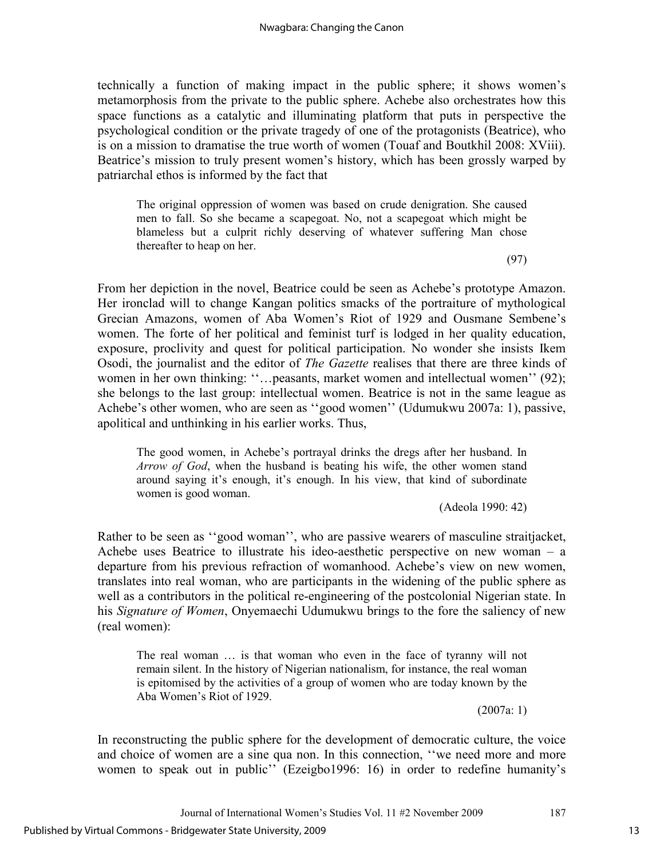technically a function of making impact in the public sphere; it shows women's metamorphosis from the private to the public sphere. Achebe also orchestrates how this space functions as a catalytic and illuminating platform that puts in perspective the psychological condition or the private tragedy of one of the protagonists (Beatrice), who is on a mission to dramatise the true worth of women (Touaf and Boutkhil 2008: XViii). Beatrice's mission to truly present women's history, which has been grossly warped by patriarchal ethos is informed by the fact that

The original oppression of women was based on crude denigration. She caused men to fall. So she became a scapegoat. No, not a scapegoat which might be blameless but a culprit richly deserving of whatever suffering Man chose thereafter to heap on her.

(97)

From her depiction in the novel, Beatrice could be seen as Achebe's prototype Amazon. Her ironclad will to change Kangan politics smacks of the portraiture of mythological Grecian Amazons, women of Aba Women's Riot of 1929 and Ousmane Sembene's women. The forte of her political and feminist turf is lodged in her quality education, exposure, proclivity and quest for political participation. No wonder she insists Ikem Osodi, the journalist and the editor of *The Gazette* realises that there are three kinds of women in her own thinking: "...peasants, market women and intellectual women" (92); she belongs to the last group: intellectual women. Beatrice is not in the same league as Achebe's other women, who are seen as ''good women'' (Udumukwu 2007a: 1), passive, apolitical and unthinking in his earlier works. Thus,

The good women, in Achebe's portrayal drinks the dregs after her husband. In *Arrow of God*, when the husband is beating his wife, the other women stand around saying it's enough, it's enough. In his view, that kind of subordinate women is good woman.

(Adeola 1990: 42)

Rather to be seen as ''good woman'', who are passive wearers of masculine straitjacket, Achebe uses Beatrice to illustrate his ideo-aesthetic perspective on new woman – a departure from his previous refraction of womanhood. Achebe's view on new women, translates into real woman, who are participants in the widening of the public sphere as well as a contributors in the political re-engineering of the postcolonial Nigerian state. In his *Signature of Women*, Onyemaechi Udumukwu brings to the fore the saliency of new (real women):

The real woman … is that woman who even in the face of tyranny will not remain silent. In the history of Nigerian nationalism, for instance, the real woman is epitomised by the activities of a group of women who are today known by the Aba Women's Riot of 1929.

(2007a: 1)

In reconstructing the public sphere for the development of democratic culture, the voice and choice of women are a sine qua non. In this connection, "we need more and more women to speak out in public'' (Ezeigbo1996: 16) in order to redefine humanity's

Journal of International Women's Studies Vol. 11 #2 November 2009 187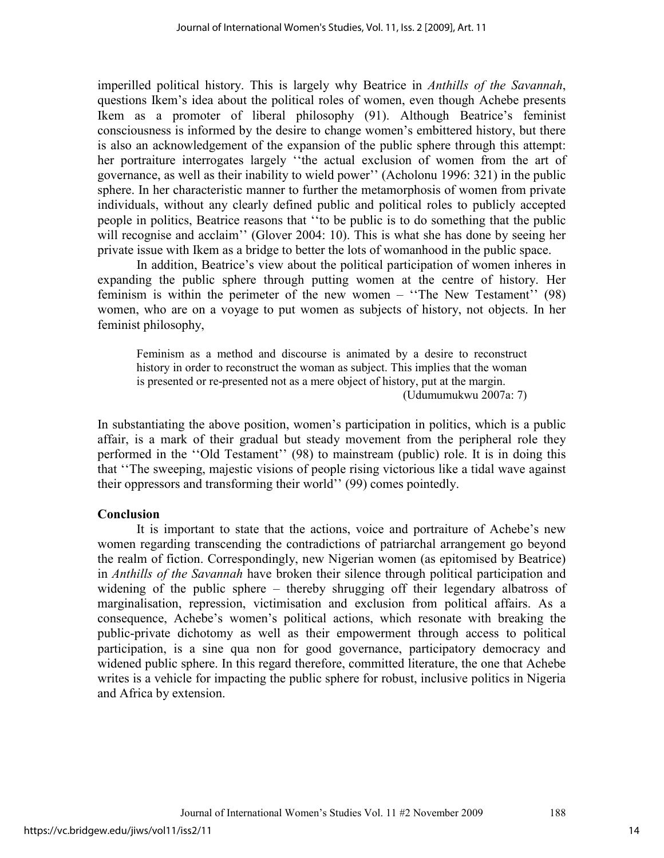imperilled political history. This is largely why Beatrice in *Anthills of the Savannah*, questions Ikem's idea about the political roles of women, even though Achebe presents Ikem as a promoter of liberal philosophy (91). Although Beatrice's feminist consciousness is informed by the desire to change women's embittered history, but there is also an acknowledgement of the expansion of the public sphere through this attempt: her portraiture interrogates largely ''the actual exclusion of women from the art of governance, as well as their inability to wield power'' (Acholonu 1996: 321) in the public sphere. In her characteristic manner to further the metamorphosis of women from private individuals, without any clearly defined public and political roles to publicly accepted people in politics, Beatrice reasons that ''to be public is to do something that the public will recognise and acclaim'' (Glover 2004: 10). This is what she has done by seeing her private issue with Ikem as a bridge to better the lots of womanhood in the public space.

In addition, Beatrice's view about the political participation of women inheres in expanding the public sphere through putting women at the centre of history. Her feminism is within the perimeter of the new women – ''The New Testament'' (98) women, who are on a voyage to put women as subjects of history, not objects. In her feminist philosophy,

Feminism as a method and discourse is animated by a desire to reconstruct history in order to reconstruct the woman as subject. This implies that the woman is presented or re-presented not as a mere object of history, put at the margin. (Udumumukwu 2007a: 7)

In substantiating the above position, women's participation in politics, which is a public affair, is a mark of their gradual but steady movement from the peripheral role they performed in the ''Old Testament'' (98) to mainstream (public) role. It is in doing this that ''The sweeping, majestic visions of people rising victorious like a tidal wave against their oppressors and transforming their world'' (99) comes pointedly.

#### **Conclusion**

It is important to state that the actions, voice and portraiture of Achebe's new women regarding transcending the contradictions of patriarchal arrangement go beyond the realm of fiction. Correspondingly, new Nigerian women (as epitomised by Beatrice) in *Anthills of the Savannah* have broken their silence through political participation and widening of the public sphere – thereby shrugging off their legendary albatross of marginalisation, repression, victimisation and exclusion from political affairs. As a consequence, Achebe's women's political actions, which resonate with breaking the public-private dichotomy as well as their empowerment through access to political participation, is a sine qua non for good governance, participatory democracy and widened public sphere. In this regard therefore, committed literature, the one that Achebe writes is a vehicle for impacting the public sphere for robust, inclusive politics in Nigeria and Africa by extension.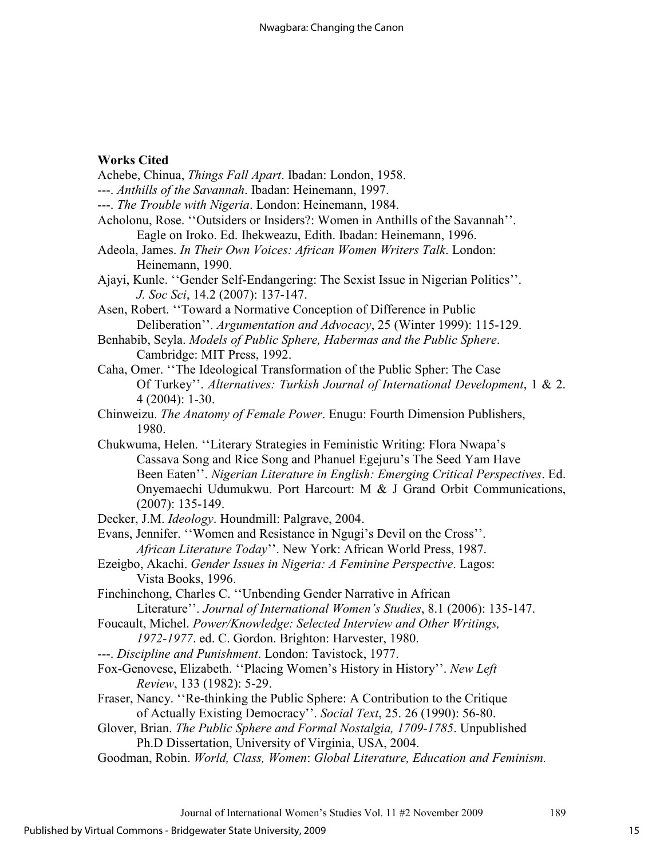#### **Works Cited**

- Achebe, Chinua, *Things Fall Apart*. Ibadan: London, 1958. ---. *Anthills of the Savannah*. Ibadan: Heinemann, 1997.
- 
- ---. *The Trouble with Nigeria*. London: Heinemann, 1984.
- Acholonu, Rose. ''Outsiders or Insiders?: Women in Anthills of the Savannah''. Eagle on Iroko. Ed. Ihekweazu, Edith. Ibadan: Heinemann, 1996.
- Adeola, James. *In Their Own Voices: African Women Writers Talk*. London: Heinemann, 1990.
- Ajayi, Kunle. ''Gender Self-Endangering: The Sexist Issue in Nigerian Politics''. *J. Soc Sci*, 14.2 (2007): 137-147.
- Asen, Robert. ''Toward a Normative Conception of Difference in Public Deliberation''. *Argumentation and Advocacy*, 25 (Winter 1999): 115-129.
- Benhabib, Seyla. *Models of Public Sphere, Habermas and the Public Sphere*. Cambridge: MIT Press, 1992.
- Caha, Omer. ''The Ideological Transformation of the Public Spher: The Case Of Turkey''. *Alternatives: Turkish Journal of International Development*, 1 & 2. 4 (2004): 1-30.
- Chinweizu. *The Anatomy of Female Power*. Enugu: Fourth Dimension Publishers, 1980.
- Chukwuma, Helen. ''Literary Strategies in Feministic Writing: Flora Nwapa's Cassava Song and Rice Song and Phanuel Egejuru's The Seed Yam Have Been Eaten''. *Nigerian Literature in English: Emerging Critical Perspectives*. Ed. Onyemaechi Udumukwu. Port Harcourt: M & J Grand Orbit Communications, (2007): 135-149.

Decker, J.M. *Ideology*. Houndmill: Palgrave, 2004.

- Evans, Jennifer. ''Women and Resistance in Ngugi's Devil on the Cross''. *African Literature Today*''. New York: African World Press, 1987.
- Ezeigbo, Akachi. *Gender Issues in Nigeria: A Feminine Perspective*. Lagos: Vista Books, 1996.
- Finchinchong, Charles C. ''Unbending Gender Narrative in African Literature''. *Journal of International Women's Studies*, 8.1 (2006): 135-147.
- Foucault, Michel. *Power/Knowledge: Selected Interview and Other Writings, 1972-1977*. ed. C. Gordon. Brighton: Harvester, 1980.
- ---. *Discipline and Punishment*. London: Tavistock, 1977.
- Fox-Genovese, Elizabeth. ''Placing Women's History in History''. *New Left Review*, 133 (1982): 5-29.
- Fraser, Nancy. ''Re-thinking the Public Sphere: A Contribution to the Critique of Actually Existing Democracy''. *Social Text*, 25. 26 (1990): 56-80.
- Glover, Brian. *The Public Sphere and Formal Nostalgia, 1709-1785*. Unpublished Ph.D Dissertation, University of Virginia, USA, 2004.
- Goodman, Robin. *World, Class, Women*: *Global Literature, Education and Feminism.*